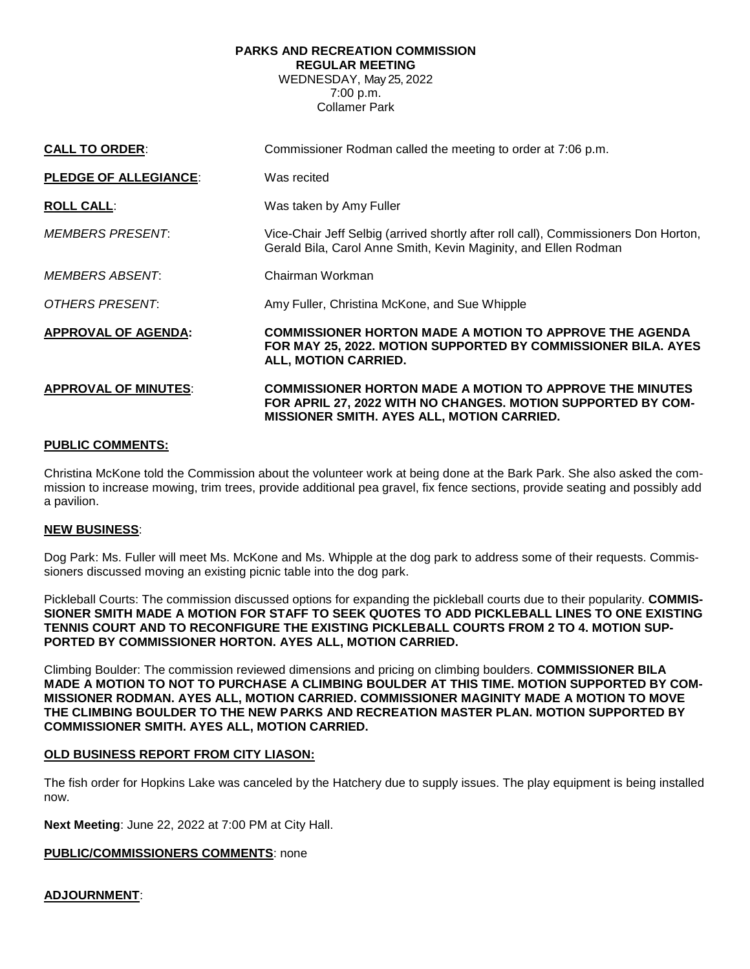## **PARKS AND RECREATION COMMISSION**

**REGULAR MEETING**

WEDNESDAY, May 25, 2022 7:00 p.m. Collamer Park

| <b>CALL TO ORDER:</b>        | Commissioner Rodman called the meeting to order at 7:06 p.m.                                                                                                                         |
|------------------------------|--------------------------------------------------------------------------------------------------------------------------------------------------------------------------------------|
| <b>PLEDGE OF ALLEGIANCE:</b> | Was recited                                                                                                                                                                          |
| <b>ROLL CALL:</b>            | Was taken by Amy Fuller                                                                                                                                                              |
| <b>MEMBERS PRESENT:</b>      | Vice-Chair Jeff Selbig (arrived shortly after roll call), Commissioners Don Horton,<br>Gerald Bila, Carol Anne Smith, Kevin Maginity, and Ellen Rodman                               |
| <i>MEMBERS ABSENT:</i>       | Chairman Workman                                                                                                                                                                     |
| OTHERS PRESENT:              | Amy Fuller, Christina McKone, and Sue Whipple                                                                                                                                        |
| <b>APPROVAL OF AGENDA:</b>   | <b>COMMISSIONER HORTON MADE A MOTION TO APPROVE THE AGENDA</b><br>FOR MAY 25, 2022. MOTION SUPPORTED BY COMMISSIONER BILA. AYES<br>ALL, MOTION CARRIED.                              |
| <b>APPROVAL OF MINUTES:</b>  | <b>COMMISSIONER HORTON MADE A MOTION TO APPROVE THE MINUTES</b><br>FOR APRIL 27, 2022 WITH NO CHANGES. MOTION SUPPORTED BY COM-<br><b>MISSIONER SMITH. AYES ALL, MOTION CARRIED.</b> |

## **PUBLIC COMMENTS:**

Christina McKone told the Commission about the volunteer work at being done at the Bark Park. She also asked the commission to increase mowing, trim trees, provide additional pea gravel, fix fence sections, provide seating and possibly add a pavilion.

## **NEW BUSINESS**:

Dog Park: Ms. Fuller will meet Ms. McKone and Ms. Whipple at the dog park to address some of their requests. Commissioners discussed moving an existing picnic table into the dog park.

Pickleball Courts: The commission discussed options for expanding the pickleball courts due to their popularity. **COMMIS-SIONER SMITH MADE A MOTION FOR STAFF TO SEEK QUOTES TO ADD PICKLEBALL LINES TO ONE EXISTING TENNIS COURT AND TO RECONFIGURE THE EXISTING PICKLEBALL COURTS FROM 2 TO 4. MOTION SUP-PORTED BY COMMISSIONER HORTON. AYES ALL, MOTION CARRIED.**

Climbing Boulder: The commission reviewed dimensions and pricing on climbing boulders. **COMMISSIONER BILA MADE A MOTION TO NOT TO PURCHASE A CLIMBING BOULDER AT THIS TIME. MOTION SUPPORTED BY COM-MISSIONER RODMAN. AYES ALL, MOTION CARRIED. COMMISSIONER MAGINITY MADE A MOTION TO MOVE THE CLIMBING BOULDER TO THE NEW PARKS AND RECREATION MASTER PLAN. MOTION SUPPORTED BY COMMISSIONER SMITH. AYES ALL, MOTION CARRIED.**

## **OLD BUSINESS REPORT FROM CITY LIASON:**

The fish order for Hopkins Lake was canceled by the Hatchery due to supply issues. The play equipment is being installed now.

**Next Meeting**: June 22, 2022 at 7:00 PM at City Hall.

**PUBLIC/COMMISSIONERS COMMENTS**: none

**ADJOURNMENT**: